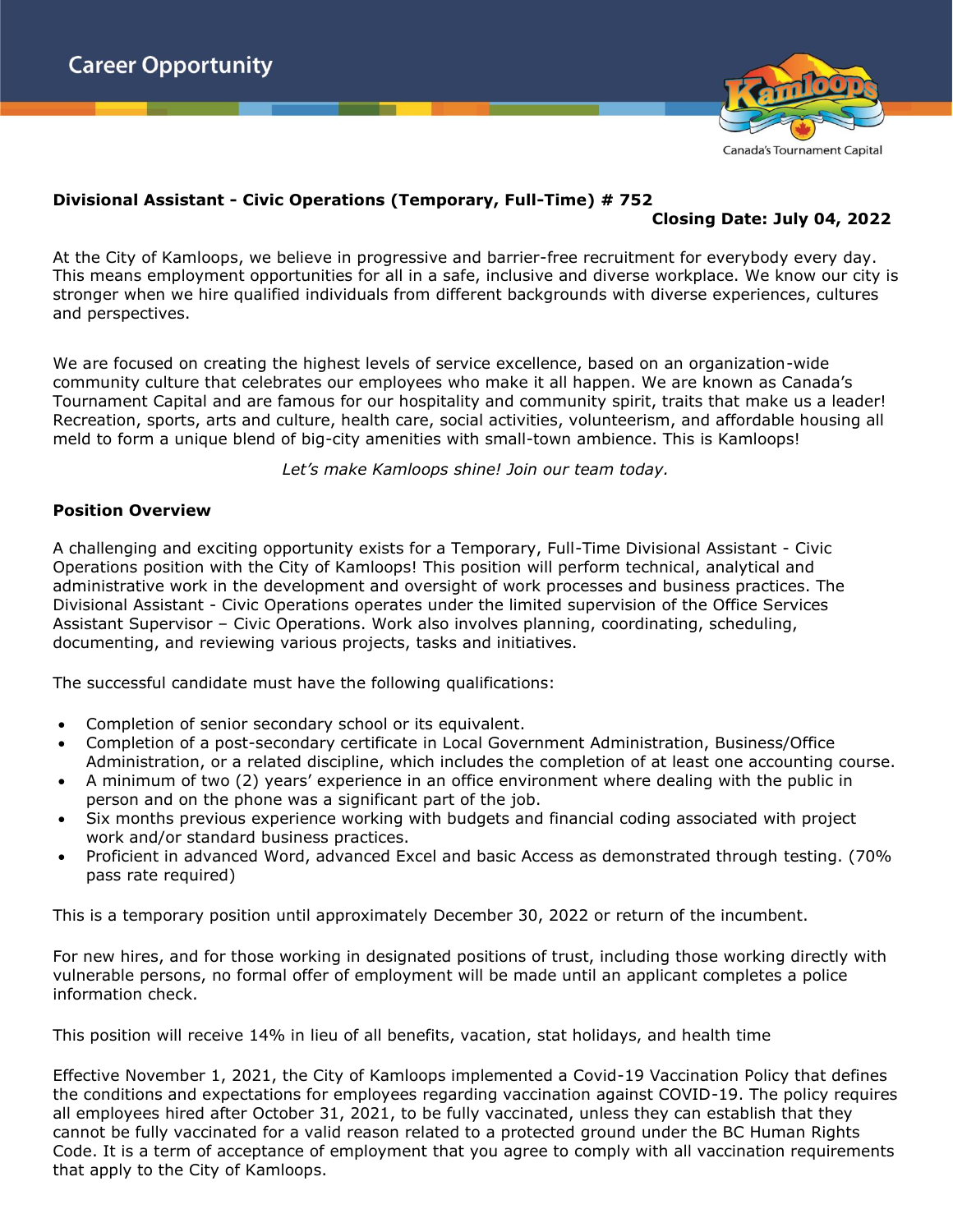

## **Divisional Assistant - Civic Operations (Temporary, Full-Time) # 752**

# **Closing Date: July 04, 2022**

At the City of Kamloops, we believe in progressive and barrier-free recruitment for everybody every day. This means employment opportunities for all in a safe, inclusive and diverse workplace. We know our city is stronger when we hire qualified individuals from different backgrounds with diverse experiences, cultures and perspectives.

We are focused on creating the highest levels of service excellence, based on an organization-wide community culture that celebrates our employees who make it all happen. We are known as Canada's Tournament Capital and are famous for our hospitality and community spirit, traits that make us a leader! Recreation, sports, arts and culture, health care, social activities, volunteerism, and affordable housing all meld to form a unique blend of big-city amenities with small-town ambience. This is Kamloops!

*Let's make Kamloops shine! Join our team today.*

#### **Position Overview**

A challenging and exciting opportunity exists for a Temporary, Full-Time Divisional Assistant - Civic Operations position with the City of Kamloops! This position will perform technical, analytical and administrative work in the development and oversight of work processes and business practices. The Divisional Assistant - Civic Operations operates under the limited supervision of the Office Services Assistant Supervisor – Civic Operations. Work also involves planning, coordinating, scheduling, documenting, and reviewing various projects, tasks and initiatives.

The successful candidate must have the following qualifications:

- Completion of senior secondary school or its equivalent.
- Completion of a post-secondary certificate in Local Government Administration, Business/Office Administration, or a related discipline, which includes the completion of at least one accounting course.
- A minimum of two (2) years' experience in an office environment where dealing with the public in person and on the phone was a significant part of the job.
- Six months previous experience working with budgets and financial coding associated with project work and/or standard business practices.
- Proficient in advanced Word, advanced Excel and basic Access as demonstrated through testing. (70% pass rate required)

This is a temporary position until approximately December 30, 2022 or return of the incumbent.

For new hires, and for those working in designated positions of trust, including those working directly with vulnerable persons, no formal offer of employment will be made until an applicant completes a police information check.

This position will receive 14% in lieu of all benefits, vacation, stat holidays, and health time

Effective November 1, 2021, the City of Kamloops implemented a Covid-19 Vaccination Policy that defines the conditions and expectations for employees regarding vaccination against COVID-19. The policy requires all employees hired after October 31, 2021, to be fully vaccinated, unless they can establish that they cannot be fully vaccinated for a valid reason related to a protected ground under the BC Human Rights Code. It is a term of acceptance of employment that you agree to comply with all vaccination requirements that apply to the City of Kamloops.